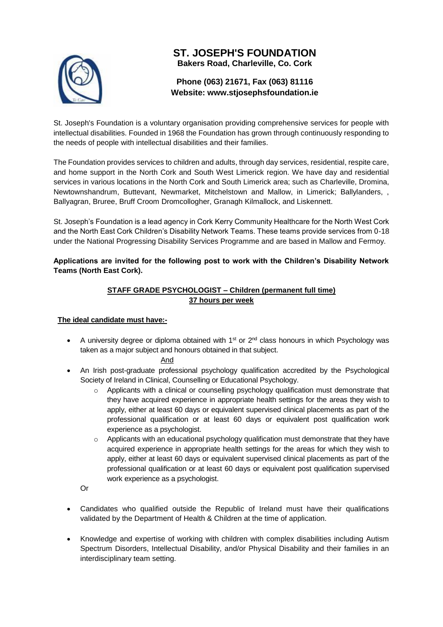

# **ST. JOSEPH'S FOUNDATION Bakers Road, Charleville, Co. Cork**

# **Phone (063) 21671, Fax (063) 81116 Website: [www.stjosephsfoundation.ie](http://www.stjosephsfoundation.ie/)**

St. Joseph's Foundation is a voluntary organisation providing comprehensive services for people with intellectual disabilities. Founded in 1968 the Foundation has grown through continuously responding to the needs of people with intellectual disabilities and their families.

The Foundation provides services to children and adults, through day services, residential, respite care, and home support in the North Cork and South West Limerick region. We have day and residential services in various locations in the North Cork and South Limerick area; such as Charleville, Dromina, Newtownshandrum, Buttevant, Newmarket, Mitchelstown and Mallow, in Limerick; Ballylanders, , Ballyagran, Bruree, Bruff Croom Dromcollogher, Granagh Kilmallock, and Liskennett.

St. Joseph's Foundation is a lead agency in Cork Kerry Community Healthcare for the North West Cork and the North East Cork Children's Disability Network Teams. These teams provide services from 0-18 under the National Progressing Disability Services Programme and are based in Mallow and Fermoy.

**Applications are invited for the following post to work with the Children's Disability Network Teams (North East Cork).** 

# **STAFF GRADE PSYCHOLOGIST – Children (permanent full time) 37 hours per week**

## **The ideal candidate must have:-**

A university degree or diploma obtained with  $1<sup>st</sup>$  or  $2<sup>nd</sup>$  class honours in which Psychology was taken as a major subject and honours obtained in that subject.

#### And

- An Irish post-graduate professional psychology qualification accredited by the Psychological Society of Ireland in Clinical, Counselling or Educational Psychology.
	- o Applicants with a clinical or counselling psychology qualification must demonstrate that they have acquired experience in appropriate health settings for the areas they wish to apply, either at least 60 days or equivalent supervised clinical placements as part of the professional qualification or at least 60 days or equivalent post qualification work experience as a psychologist.
	- $\circ$  Applicants with an educational psychology qualification must demonstrate that they have acquired experience in appropriate health settings for the areas for which they wish to apply, either at least 60 days or equivalent supervised clinical placements as part of the professional qualification or at least 60 days or equivalent post qualification supervised work experience as a psychologist.

Or

- Candidates who qualified outside the Republic of Ireland must have their qualifications validated by the Department of Health & Children at the time of application.
- Knowledge and expertise of working with children with complex disabilities including Autism Spectrum Disorders, Intellectual Disability, and/or Physical Disability and their families in an interdisciplinary team setting.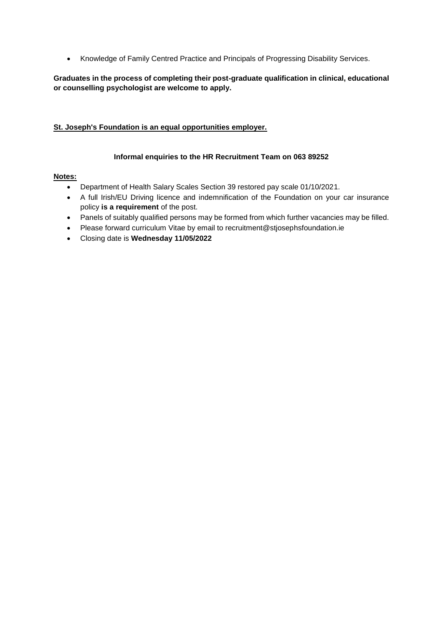Knowledge of Family Centred Practice and Principals of Progressing Disability Services.

### **Graduates in the process of completing their post-graduate qualification in clinical, educational or counselling psychologist are welcome to apply.**

#### **St. Joseph's Foundation is an equal opportunities employer.**

#### **Informal enquiries to the HR Recruitment Team on 063 89252**

## **Notes:**

- Department of Health Salary Scales Section 39 restored pay scale 01/10/2021.
- A full Irish/EU Driving licence and indemnification of the Foundation on your car insurance policy **is a requirement** of the post.
- Panels of suitably qualified persons may be formed from which further vacancies may be filled.
- Please forward curriculum Vitae by email to recruitment@stjosephsfoundation.ie
- Closing date is **Wednesday 11/05/2022**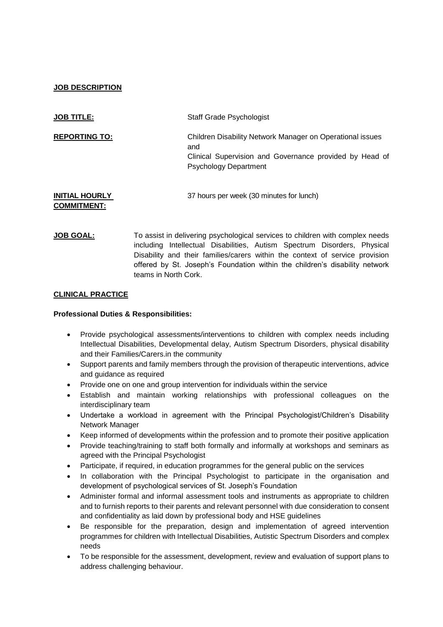## **JOB DESCRIPTION**

| <b>JOB TITLE:</b>                           | <b>Staff Grade Psychologist</b>                                                                                                                             |  |  |
|---------------------------------------------|-------------------------------------------------------------------------------------------------------------------------------------------------------------|--|--|
| <b>REPORTING TO:</b>                        | Children Disability Network Manager on Operational issues<br>and<br>Clinical Supervision and Governance provided by Head of<br><b>Psychology Department</b> |  |  |
| <b>INITIAL HOURLY</b><br><b>COMMITMENT:</b> | 37 hours per week (30 minutes for lunch)                                                                                                                    |  |  |

**JOB GOAL:** To assist in delivering psychological services to children with complex needs including Intellectual Disabilities, Autism Spectrum Disorders, Physical Disability and their families/carers within the context of service provision offered by St. Joseph's Foundation within the children's disability network teams in North Cork.

### **CLINICAL PRACTICE**

#### **Professional Duties & Responsibilities:**

- Provide psychological assessments/interventions to children with complex needs including Intellectual Disabilities, Developmental delay, Autism Spectrum Disorders, physical disability and their Families/Carers.in the community
- Support parents and family members through the provision of therapeutic interventions, advice and guidance as required
- Provide one on one and group intervention for individuals within the service
- Establish and maintain working relationships with professional colleagues on the interdisciplinary team
- Undertake a workload in agreement with the Principal Psychologist/Children's Disability Network Manager
- Keep informed of developments within the profession and to promote their positive application
- Provide teaching/training to staff both formally and informally at workshops and seminars as agreed with the Principal Psychologist
- Participate, if required, in education programmes for the general public on the services
- In collaboration with the Principal Psychologist to participate in the organisation and development of psychological services of St. Joseph's Foundation
- Administer formal and informal assessment tools and instruments as appropriate to children and to furnish reports to their parents and relevant personnel with due consideration to consent and confidentiality as laid down by professional body and HSE guidelines
- Be responsible for the preparation, design and implementation of agreed intervention programmes for children with Intellectual Disabilities, Autistic Spectrum Disorders and complex needs
- To be responsible for the assessment, development, review and evaluation of support plans to address challenging behaviour.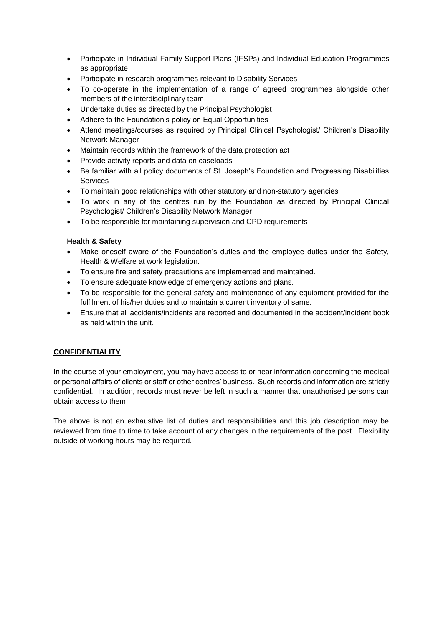- Participate in Individual Family Support Plans (IFSPs) and Individual Education Programmes as appropriate
- Participate in research programmes relevant to Disability Services
- To co-operate in the implementation of a range of agreed programmes alongside other members of the interdisciplinary team
- Undertake duties as directed by the Principal Psychologist
- Adhere to the Foundation's policy on Equal Opportunities
- Attend meetings/courses as required by Principal Clinical Psychologist/ Children's Disability Network Manager
- Maintain records within the framework of the data protection act
- Provide activity reports and data on caseloads
- Be familiar with all policy documents of St. Joseph's Foundation and Progressing Disabilities Services
- To maintain good relationships with other statutory and non-statutory agencies
- To work in any of the centres run by the Foundation as directed by Principal Clinical Psychologist/ Children's Disability Network Manager
- To be responsible for maintaining supervision and CPD requirements

## **Health & Safety**

- Make oneself aware of the Foundation's duties and the employee duties under the Safety, Health & Welfare at work legislation.
- To ensure fire and safety precautions are implemented and maintained.
- To ensure adequate knowledge of emergency actions and plans.
- To be responsible for the general safety and maintenance of any equipment provided for the fulfilment of his/her duties and to maintain a current inventory of same.
- Ensure that all accidents/incidents are reported and documented in the accident/incident book as held within the unit.

# **CONFIDENTIALITY**

In the course of your employment, you may have access to or hear information concerning the medical or personal affairs of clients or staff or other centres' business. Such records and information are strictly confidential. In addition, records must never be left in such a manner that unauthorised persons can obtain access to them.

The above is not an exhaustive list of duties and responsibilities and this job description may be reviewed from time to time to take account of any changes in the requirements of the post. Flexibility outside of working hours may be required.